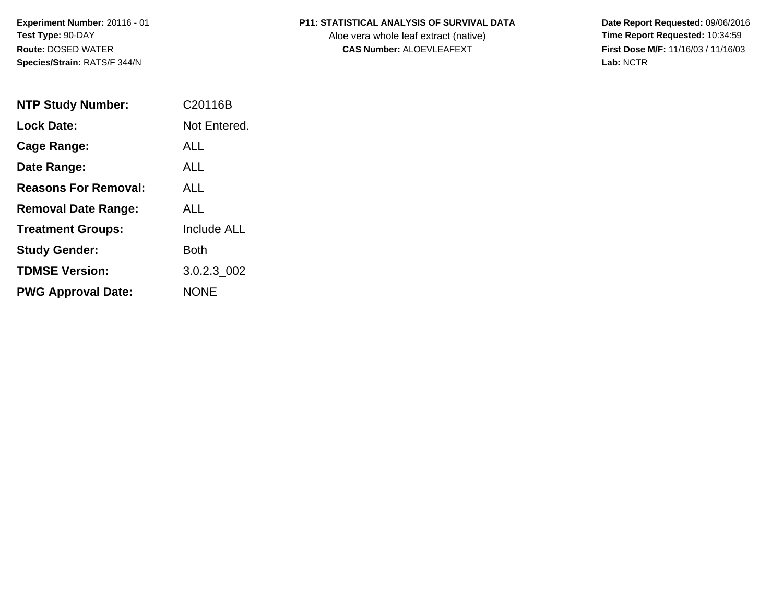## **P11: STATISTICAL ANALYSIS OF SURVIVAL DATA**

Aloe vera whole leaf extract (native)<br>**CAS Number:** ALOEVLEAFEXT

 **Date Report Requested:** 09/06/2016 **First Dose M/F:** 11/16/03 / 11/16/03<br>Lab: NCTR **Lab:** NCTR

| <b>NTP Study Number:</b>    | C <sub>20116</sub> B |
|-----------------------------|----------------------|
| <b>Lock Date:</b>           | Not Entered.         |
| Cage Range:                 | ALL.                 |
| Date Range:                 | ALL.                 |
| <b>Reasons For Removal:</b> | ALL.                 |
| <b>Removal Date Range:</b>  | ALL                  |
| <b>Treatment Groups:</b>    | <b>Include ALL</b>   |
| <b>Study Gender:</b>        | Both                 |
| <b>TDMSE Version:</b>       | 3.0.2.3 002          |
| <b>PWG Approval Date:</b>   | <b>NONE</b>          |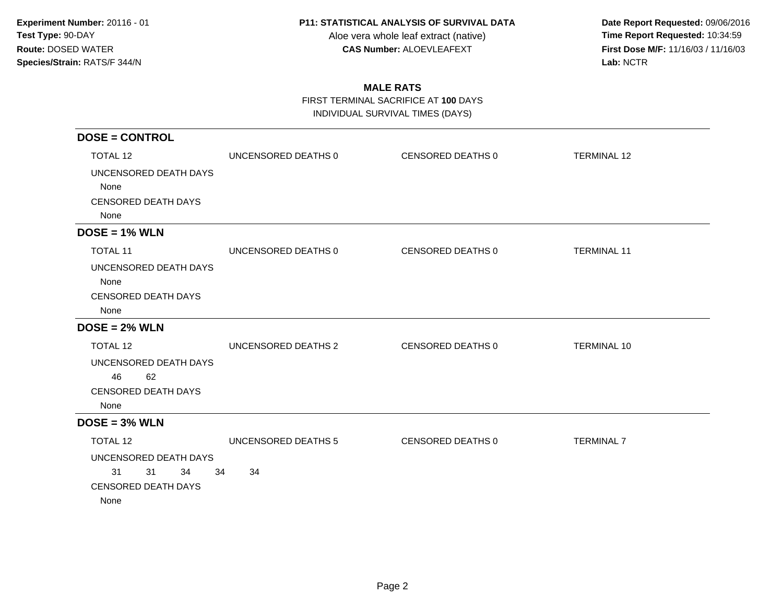#### **P11: STATISTICAL ANALYSIS OF SURVIVAL DATA**

Aloe vera whole leaf extract (native)<br>**CAS Number:** ALOEVLEAFEXT

 **Date Report Requested:** 09/06/2016 **First Dose M/F:** 11/16/03 / 11/16/03<br>Lab: NCTR **Lab:** NCTR

# **MALE RATS**

FIRST TERMINAL SACRIFICE AT **100** DAYS

INDIVIDUAL SURVIVAL TIMES (DAYS)

| <b>DOSE = CONTROL</b>              |                     |                   |                    |
|------------------------------------|---------------------|-------------------|--------------------|
| <b>TOTAL 12</b>                    | UNCENSORED DEATHS 0 | CENSORED DEATHS 0 | <b>TERMINAL 12</b> |
| UNCENSORED DEATH DAYS              |                     |                   |                    |
| None                               |                     |                   |                    |
| <b>CENSORED DEATH DAYS</b><br>None |                     |                   |                    |
| $DOSE = 1% WLN$                    |                     |                   |                    |
| <b>TOTAL 11</b>                    | UNCENSORED DEATHS 0 | CENSORED DEATHS 0 | <b>TERMINAL 11</b> |
| UNCENSORED DEATH DAYS              |                     |                   |                    |
| None                               |                     |                   |                    |
| <b>CENSORED DEATH DAYS</b>         |                     |                   |                    |
| None                               |                     |                   |                    |
| $DOSE = 2% WLN$                    |                     |                   |                    |
| <b>TOTAL 12</b>                    | UNCENSORED DEATHS 2 | CENSORED DEATHS 0 | <b>TERMINAL 10</b> |
| UNCENSORED DEATH DAYS              |                     |                   |                    |
| 46<br>62                           |                     |                   |                    |
| <b>CENSORED DEATH DAYS</b>         |                     |                   |                    |
| None                               |                     |                   |                    |
| $DOSE = 3% WLN$                    |                     |                   |                    |
| TOTAL 12                           | UNCENSORED DEATHS 5 | CENSORED DEATHS 0 | <b>TERMINAL 7</b>  |
| UNCENSORED DEATH DAYS              |                     |                   |                    |
| 31<br>31<br>34                     | 34<br>34            |                   |                    |
| CENSORED DEATH DAYS                |                     |                   |                    |
| None                               |                     |                   |                    |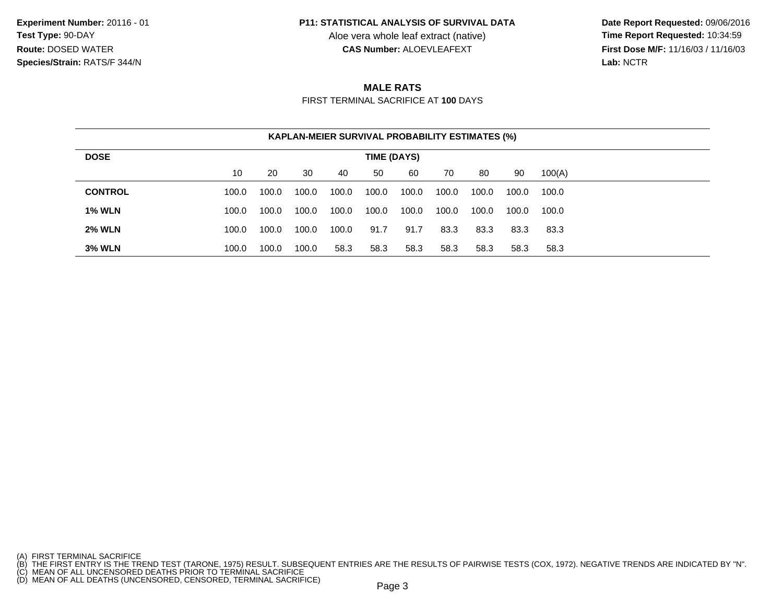#### **P11: STATISTICAL ANALYSIS OF SURVIVAL DATA**

Aloe vera whole leaf extract (native)<br>**CAS Number:** ALOEVLEAFEXT

 **Date Report Requested:** 09/06/2016 **First Dose M/F:** 11/16/03 / 11/16/03<br>Lab: NCTR **Lab:** NCTR

## **MALE RATS**

FIRST TERMINAL SACRIFICE AT **100** DAYS

| <b>KAPLAN-MEIER SURVIVAL PROBABILITY ESTIMATES (%)</b> |                                                              |       |       |       |       |       |       |       |       |       |
|--------------------------------------------------------|--------------------------------------------------------------|-------|-------|-------|-------|-------|-------|-------|-------|-------|
| <b>DOSE</b><br>TIME (DAYS)                             |                                                              |       |       |       |       |       |       |       |       |       |
|                                                        | 10<br>30<br>20<br>50<br>60<br>80<br>90<br>100(A)<br>40<br>70 |       |       |       |       |       |       |       |       |       |
| <b>CONTROL</b>                                         | 100.0                                                        | 100.0 | 100.0 | 100.0 | 100.0 | 100.0 | 100.0 | 100.0 | 100.0 | 100.0 |
| <b>1% WLN</b>                                          | 100.0                                                        | 100.0 | 100.0 | 100.0 | 100.0 | 100.0 | 100.0 | 100.0 | 100.0 | 100.0 |
| <b>2% WLN</b>                                          | 100.0                                                        | 100.0 | 100.0 | 100.0 | 91.7  | 91.7  | 83.3  | 83.3  | 83.3  | 83.3  |
| <b>3% WLN</b>                                          | 100.0                                                        | 100.0 | 100.0 | 58.3  | 58.3  | 58.3  | 58.3  | 58.3  | 58.3  | 58.3  |

<sup>(</sup>A) FIRST TERMINAL SACRIFICE<br>(B) THE FIRST ENTRY IS THE TREND TEST (TARONE, 1975) RESULT. SUBSEQUENT ENTRIES ARE THE RESULTS OF PAIRWISE TESTS (COX, 1972). NEGATIVE TRENDS ARE INDICATED BY "N".<br>(C) MEAN OF ALL UNCENSORED D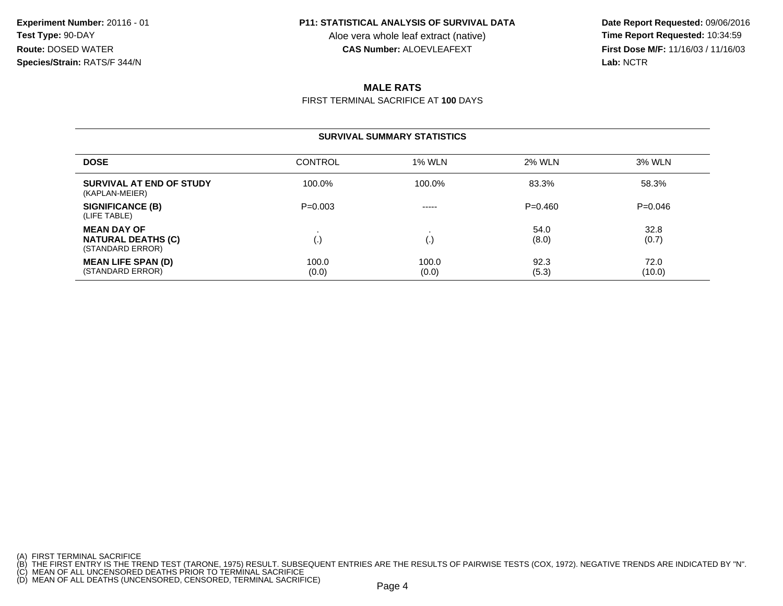#### **P11: STATISTICAL ANALYSIS OF SURVIVAL DATA**

Aloe vera whole leaf extract (native)<br>**CAS Number:** ALOEVLEAFEXT

 **Date Report Requested:** 09/06/2016 **First Dose M/F:** 11/16/03 / 11/16/03<br>Lab: NCTR **Lab:** NCTR

## **MALE RATS**

FIRST TERMINAL SACRIFICE AT **100** DAYS

#### **SURVIVAL SUMMARY STATISTICS**

| <b>DOSE</b>                                                         | <b>CONTROL</b> | <b>1% WLN</b>  | 2% WLN        | 3% WLN         |
|---------------------------------------------------------------------|----------------|----------------|---------------|----------------|
| SURVIVAL AT END OF STUDY<br>(KAPLAN-MEIER)                          | 100.0%         | 100.0%         | 83.3%         | 58.3%          |
| <b>SIGNIFICANCE (B)</b><br>(LIFE TABLE)                             | $P=0.003$      | $- - - - -$    | $P = 0.460$   | $P=0.046$      |
| <b>MEAN DAY OF</b><br><b>NATURAL DEATHS (C)</b><br>(STANDARD ERROR) | ι٠             |                | 54.0<br>(8.0) | 32.8<br>(0.7)  |
| <b>MEAN LIFE SPAN (D)</b><br>(STANDARD ERROR)                       | 100.0<br>(0.0) | 100.0<br>(0.0) | 92.3<br>(5.3) | 72.0<br>(10.0) |

<sup>(</sup>A) FIRST TERMINAL SACRIFICE<br>(B) THE FIRST ENTRY IS THE TREND TEST (TARONE, 1975) RESULT. SUBSEQUENT ENTRIES ARE THE RESULTS OF PAIRWISE TESTS (COX, 1972). NEGATIVE TRENDS ARE INDICATED BY "N".<br>(C) MEAN OF ALL UNCENSORED D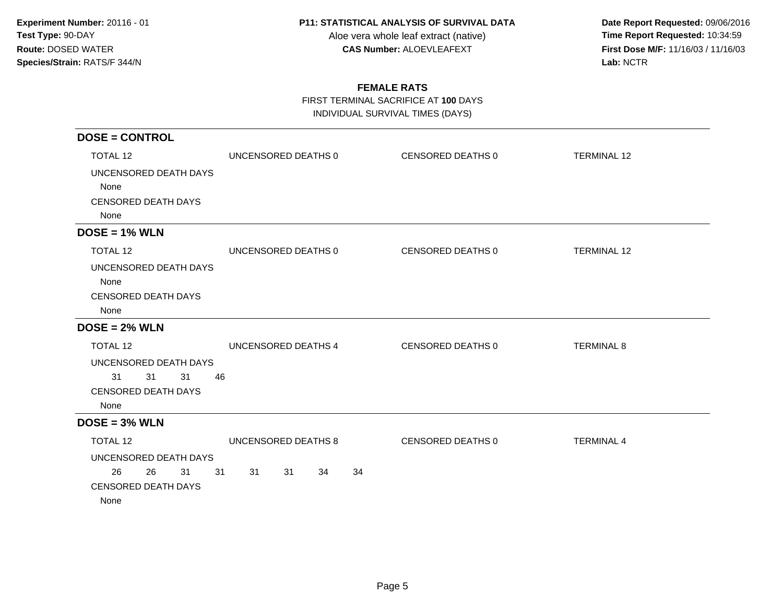#### **P11: STATISTICAL ANALYSIS OF SURVIVAL DATA**

Aloe vera whole leaf extract (native)<br>**CAS Number:** ALOEVLEAFEXT

 **Date Report Requested:** 09/06/2016 **First Dose M/F:** 11/16/03 / 11/16/03<br>Lab: NCTR **Lab:** NCTR

# **FEMALE RATS**

FIRST TERMINAL SACRIFICE AT **100** DAYS

INDIVIDUAL SURVIVAL TIMES (DAYS)

| <b>DOSE = CONTROL</b>              |                            |                   |                    |
|------------------------------------|----------------------------|-------------------|--------------------|
| <b>TOTAL 12</b>                    | UNCENSORED DEATHS 0        | CENSORED DEATHS 0 | <b>TERMINAL 12</b> |
| UNCENSORED DEATH DAYS              |                            |                   |                    |
| None                               |                            |                   |                    |
| <b>CENSORED DEATH DAYS</b>         |                            |                   |                    |
| None                               |                            |                   |                    |
| $DOSE = 1% WLN$                    |                            |                   |                    |
| TOTAL 12                           | UNCENSORED DEATHS 0        | CENSORED DEATHS 0 | <b>TERMINAL 12</b> |
| UNCENSORED DEATH DAYS              |                            |                   |                    |
| None                               |                            |                   |                    |
| <b>CENSORED DEATH DAYS</b>         |                            |                   |                    |
| None                               |                            |                   |                    |
| $DOSE = 2% WLN$                    |                            |                   |                    |
| <b>TOTAL 12</b>                    | UNCENSORED DEATHS 4        | CENSORED DEATHS 0 | <b>TERMINAL 8</b>  |
| UNCENSORED DEATH DAYS              |                            |                   |                    |
| 31<br>31<br>31                     | 46                         |                   |                    |
| <b>CENSORED DEATH DAYS</b>         |                            |                   |                    |
| None                               |                            |                   |                    |
| $DOSE = 3% WLN$                    |                            |                   |                    |
| TOTAL 12                           | UNCENSORED DEATHS 8        | CENSORED DEATHS 0 | <b>TERMINAL 4</b>  |
| UNCENSORED DEATH DAYS              |                            |                   |                    |
| 26<br>31<br>26                     | 31<br>31<br>31<br>34<br>34 |                   |                    |
| <b>CENSORED DEATH DAYS</b><br>None |                            |                   |                    |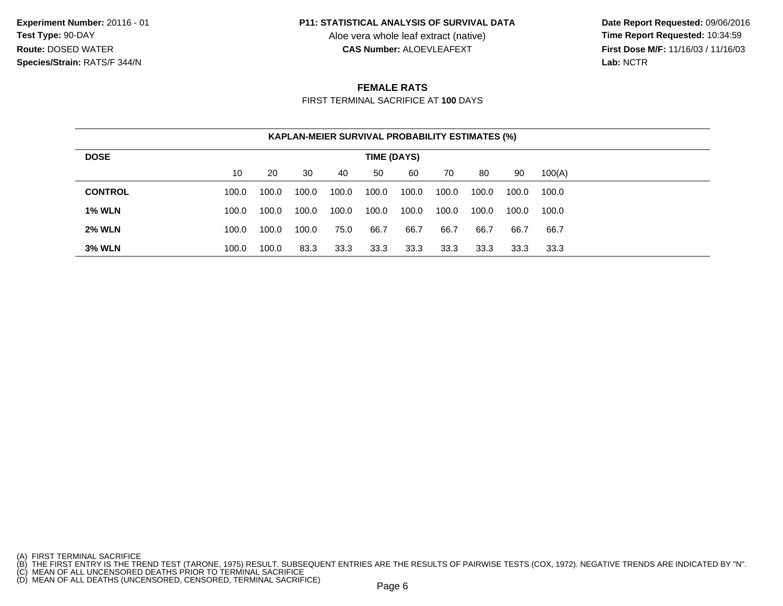#### **P11: STATISTICAL ANALYSIS OF SURVIVAL DATA**

Aloe vera whole leaf extract (native)<br>**CAS Number:** ALOEVLEAFEXT

 **Date Report Requested:** 09/06/2016 **First Dose M/F:** 11/16/03 / 11/16/03<br>Lab: NCTR **Lab:** NCTR

## **FEMALE RATS**

FIRST TERMINAL SACRIFICE AT **100** DAYS

| KAPLAN-MEIER SURVIVAL PROBABILITY ESTIMATES (%) |                                                              |       |       |       |       |       |       |       |       |       |
|-------------------------------------------------|--------------------------------------------------------------|-------|-------|-------|-------|-------|-------|-------|-------|-------|
| <b>DOSE</b>                                     | TIME (DAYS)                                                  |       |       |       |       |       |       |       |       |       |
|                                                 | 10<br>30<br>90<br>100(A)<br>20<br>50<br>60<br>40<br>80<br>70 |       |       |       |       |       |       |       |       |       |
| <b>CONTROL</b>                                  | 100.0                                                        | 100.0 | 100.0 | 100.0 | 100.0 | 100.0 | 100.0 | 100.0 | 100.0 | 100.0 |
| <b>1% WLN</b>                                   | 100.0                                                        | 100.0 | 100.0 | 100.0 | 100.0 | 100.0 | 100.0 | 100.0 | 100.0 | 100.0 |
| <b>2% WLN</b>                                   | 100.0                                                        | 100.0 | 100.0 | 75.0  | 66.7  | 66.7  | 66.7  | 66.7  | 66.7  | 66.7  |
| <b>3% WLN</b>                                   | 100.0                                                        | 100.0 | 83.3  | 33.3  | 33.3  | 33.3  | 33.3  | 33.3  | 33.3  | 33.3  |

<sup>(</sup>A) FIRST TERMINAL SACRIFICE<br>(B) THE FIRST ENTRY IS THE TREND TEST (TARONE, 1975) RESULT. SUBSEQUENT ENTRIES ARE THE RESULTS OF PAIRWISE TESTS (COX, 1972). NEGATIVE TRENDS ARE INDICATED BY "N".<br>(C) MEAN OF ALL UNCENSORED D